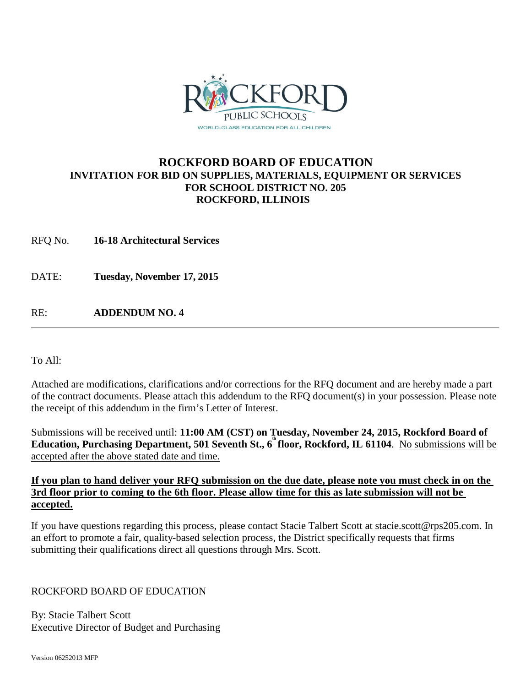

## **ROCKFORD BOARD OF EDUCATION INVITATION FOR BID ON SUPPLIES, MATERIALS, EQUIPMENT OR SERVICES FOR SCHOOL DISTRICT NO. 205 ROCKFORD, ILLINOIS**

RFQ No. **16-18 Architectural Services** 

DATE: **Tuesday, November 17, 2015**

RE: **ADDENDUM NO. 4**

To All:

Attached are modifications, clarifications and/or corrections for the RFQ document and are hereby made a part of the contract documents. Please attach this addendum to the RFQ document(s) in your possession. Please note the receipt of this addendum in the firm's Letter of Interest.

Submissions will be received until: **11:00 AM (CST) on Tuesday, November 24, 2015, Rockford Board of Education, Purchasing Department, 501 Seventh St., 6th floor, Rockford, IL 61104**. No submissions will be accepted after the above stated date and time.

### **If you plan to hand deliver your RFQ submission on the due date, please note you must check in on the 3rd floor prior to coming to the 6th floor. Please allow time for this as late submission will not be accepted.**

If you have questions regarding this process, please contact Stacie Talbert Scott [at stacie.scott@rps205.com.](mailto:stacie.scott@rps205.com) In an effort to promote a fair, quality-based selection process, the District specifically requests that firms submitting their qualifications direct all questions through Mrs. Scott.

## ROCKFORD BOARD OF EDUCATION

By: Stacie Talbert Scott Executive Director of Budget and Purchasing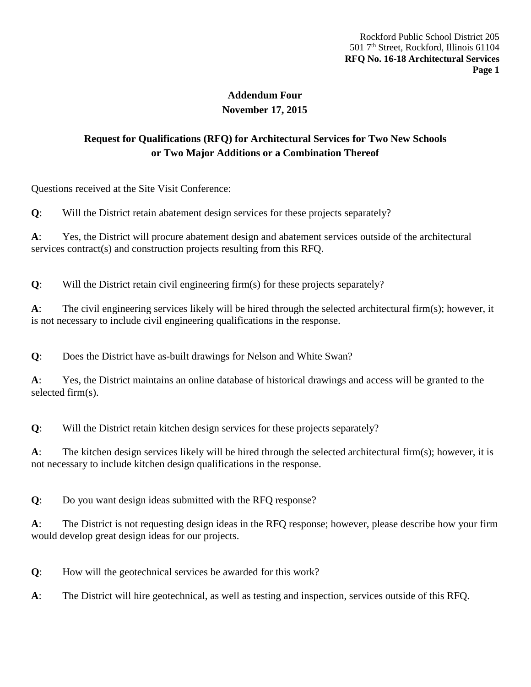# **Addendum Four November 17, 2015**

# **Request for Qualifications (RFQ) for Architectural Services for Two New Schools or Two Major Additions or a Combination Thereof**

Questions received at the Site Visit Conference:

**Q**: Will the District retain abatement design services for these projects separately?

**A**: Yes, the District will procure abatement design and abatement services outside of the architectural services contract(s) and construction projects resulting from this RFQ.

**Q**: Will the District retain civil engineering firm(s) for these projects separately?

**A**: The civil engineering services likely will be hired through the selected architectural firm(s); however, it is not necessary to include civil engineering qualifications in the response.

**Q**: Does the District have as-built drawings for Nelson and White Swan?

**A**: Yes, the District maintains an online database of historical drawings and access will be granted to the selected firm(s).

**Q**: Will the District retain kitchen design services for these projects separately?

**A**: The kitchen design services likely will be hired through the selected architectural firm(s); however, it is not necessary to include kitchen design qualifications in the response.

**Q**: Do you want design ideas submitted with the RFQ response?

**A**: The District is not requesting design ideas in the RFQ response; however, please describe how your firm would develop great design ideas for our projects.

**Q**: How will the geotechnical services be awarded for this work?

**A**: The District will hire geotechnical, as well as testing and inspection, services outside of this RFQ.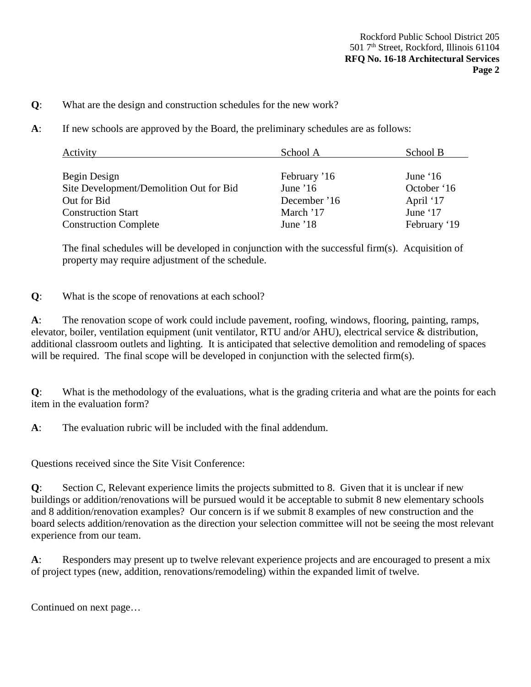- **Q**: What are the design and construction schedules for the new work?
- **A**: If new schools are approved by the Board, the preliminary schedules are as follows:

| Activity                                | School A     | School B     |  |
|-----------------------------------------|--------------|--------------|--|
|                                         |              |              |  |
| Begin Design                            | February '16 | June $16$    |  |
| Site Development/Demolition Out for Bid | June $16$    | October '16  |  |
| Out for Bid                             | December '16 | April '17    |  |
| <b>Construction Start</b>               | March '17    | June '17     |  |
| <b>Construction Complete</b>            | June $18$    | February '19 |  |

The final schedules will be developed in conjunction with the successful firm(s). Acquisition of property may require adjustment of the schedule.

### **Q**: What is the scope of renovations at each school?

**A**: The renovation scope of work could include pavement, roofing, windows, flooring, painting, ramps, elevator, boiler, ventilation equipment (unit ventilator, RTU and/or AHU), electrical service & distribution, additional classroom outlets and lighting. It is anticipated that selective demolition and remodeling of spaces will be required. The final scope will be developed in conjunction with the selected firm(s).

**Q**: What is the methodology of the evaluations, what is the grading criteria and what are the points for each item in the evaluation form?

**A**: The evaluation rubric will be included with the final addendum.

Questions received since the Site Visit Conference:

**Q**: Section C, Relevant experience limits the projects submitted to 8. Given that it is unclear if new buildings or addition/renovations will be pursued would it be acceptable to submit 8 new elementary schools and 8 addition/renovation examples? Our concern is if we submit 8 examples of new construction and the board selects addition/renovation as the direction your selection committee will not be seeing the most relevant experience from our team.

**A**: Responders may present up to twelve relevant experience projects and are encouraged to present a mix of project types (new, addition, renovations/remodeling) within the expanded limit of twelve.

Continued on next page…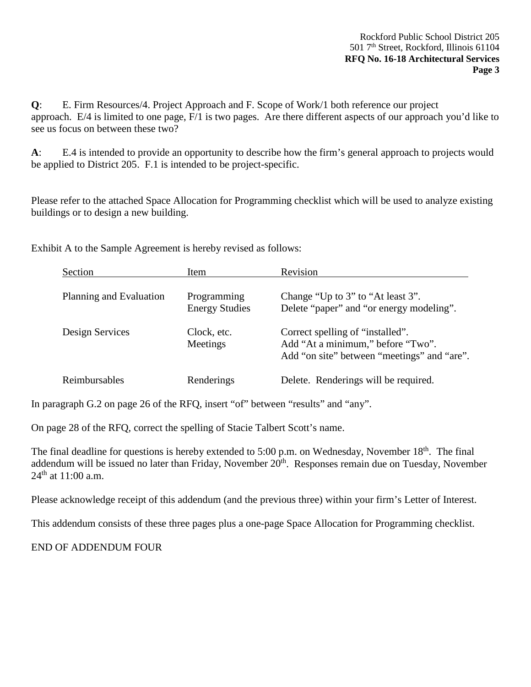**Q**: E. Firm Resources/4. Project Approach and F. Scope of Work/1 both reference our project approach. E/4 is limited to one page, F/1 is two pages. Are there different aspects of our approach you'd like to see us focus on between these two?

**A**: E.4 is intended to provide an opportunity to describe how the firm's general approach to projects would be applied to District 205. F.1 is intended to be project-specific.

Please refer to the attached Space Allocation for Programming checklist which will be used to analyze existing buildings or to design a new building.

Exhibit A to the Sample Agreement is hereby revised as follows:

| Section                 | Item                                 | Revision                                                                                                             |
|-------------------------|--------------------------------------|----------------------------------------------------------------------------------------------------------------------|
| Planning and Evaluation | Programming<br><b>Energy Studies</b> | Change "Up to 3" to "At least 3".<br>Delete "paper" and "or energy modeling".                                        |
| Design Services         | Clock, etc.<br>Meetings              | Correct spelling of "installed".<br>Add "At a minimum," before "Two".<br>Add "on site" between "meetings" and "are". |
| Reimbursables           | Renderings                           | Delete. Renderings will be required.                                                                                 |

In paragraph G.2 on page 26 of the RFQ, insert "of" between "results" and "any".

On page 28 of the RFQ, correct the spelling of Stacie Talbert Scott's name.

The final deadline for questions is hereby extended to 5:00 p.m. on Wednesday, November 18<sup>th</sup>. The final addendum will be issued no later than Friday, November 20<sup>th</sup>. Responses remain due on Tuesday, November  $24^{th}$  at 11:00 a.m.

Please acknowledge receipt of this addendum (and the previous three) within your firm's Letter of Interest.

This addendum consists of these three pages plus a one-page Space Allocation for Programming checklist.

END OF ADDENDUM FOUR